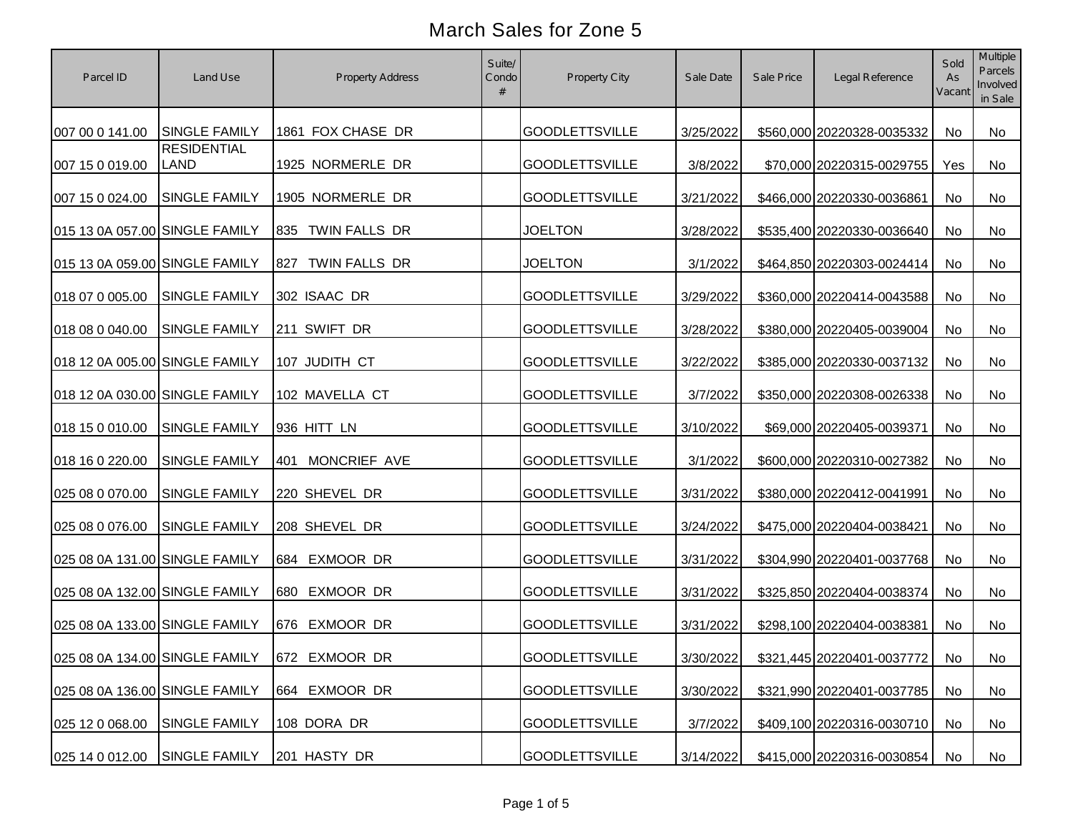| Parcel ID                      | Land Use                          | <b>Property Address</b> | Suite/<br>Condo | Property City         | Sale Date | Sale Price | Legal Reference               | Sold<br>As<br>Vacant | <b>Multiple</b><br><b>Parcels</b><br>Involved<br>in Sale |
|--------------------------------|-----------------------------------|-------------------------|-----------------|-----------------------|-----------|------------|-------------------------------|----------------------|----------------------------------------------------------|
| 007 00 0 141.00                | <b>SINGLE FAMILY</b>              | 1861 FOX CHASE DR       |                 | <b>GOODLETTSVILLE</b> | 3/25/2022 |            | \$560,000 20220328-0035332    | No                   | No                                                       |
| 007 15 0 019.00                | <b>RESIDENTIAL</b><br><b>LAND</b> | 1925 NORMERLE DR        |                 | <b>GOODLETTSVILLE</b> | 3/8/2022  |            | \$70,000 20220315-0029755     | Yes                  | No                                                       |
| 007 15 0 024.00                | <b>SINGLE FAMILY</b>              | 1905 NORMERLE DR        |                 | <b>GOODLETTSVILLE</b> | 3/21/2022 |            | \$466,000 20220330-0036861    | No                   | No                                                       |
| 015 13 0A 057.00 SINGLE FAMILY |                                   | 835 TWIN FALLS DR       |                 | <b>JOELTON</b>        | 3/28/2022 |            | \$535,400 20220330-0036640    | No                   | No                                                       |
| 015 13 0A 059.00 SINGLE FAMILY |                                   | TWIN FALLS DR<br>827    |                 | <b>JOELTON</b>        | 3/1/2022  |            | \$464,850 20220303-0024414    | No                   | No                                                       |
| 018 07 0 005.00                | <b>SINGLE FAMILY</b>              | 302 ISAAC DR            |                 | <b>GOODLETTSVILLE</b> | 3/29/2022 |            | \$360,000 20220414-0043588    | No                   | No                                                       |
| 018 08 0 040.00                | <b>SINGLE FAMILY</b>              | 211 SWIFT DR            |                 | <b>GOODLETTSVILLE</b> | 3/28/2022 |            | \$380,000 20220405-0039004    | No                   | No                                                       |
| 018 12 0A 005.00 SINGLE FAMILY |                                   | 107 JUDITH CT           |                 | <b>GOODLETTSVILLE</b> | 3/22/2022 |            | \$385,000 20220330-0037132    | No                   | No                                                       |
| 018 12 0A 030.00 SINGLE FAMILY |                                   | 102 MAVELLA CT          |                 | <b>GOODLETTSVILLE</b> | 3/7/2022  |            | \$350,000 20220308-0026338    | No                   | No                                                       |
| 018 15 0 010.00                | <b>SINGLE FAMILY</b>              | 936 HITT LN             |                 | <b>GOODLETTSVILLE</b> | 3/10/2022 |            | \$69,000 20220405-0039371     | No                   | No                                                       |
| 018 16 0 220.00                | <b>SINGLE FAMILY</b>              | MONCRIEF AVE<br>401     |                 | <b>GOODLETTSVILLE</b> | 3/1/2022  |            | \$600,000 20220310-0027382    | No                   | No                                                       |
| 025 08 0 070.00                | <b>SINGLE FAMILY</b>              | 220 SHEVEL DR           |                 | <b>GOODLETTSVILLE</b> | 3/31/2022 |            | \$380,000 20220412-0041991    | No                   | No                                                       |
| 025 08 0 076.00                | <b>SINGLE FAMILY</b>              | 208 SHEVEL DR           |                 | <b>GOODLETTSVILLE</b> | 3/24/2022 |            | \$475,000 20220404-0038421    | No                   | No                                                       |
| 025 08 0A 131.00 SINGLE FAMILY |                                   | 684 EXMOOR DR           |                 | <b>GOODLETTSVILLE</b> | 3/31/2022 |            | \$304,990 20220401-0037768    | No                   | No                                                       |
| 025 08 0A 132.00 SINGLE FAMILY |                                   | EXMOOR DR<br>680        |                 | <b>GOODLETTSVILLE</b> | 3/31/2022 |            | \$325,850 20220404-0038374    | No                   | No                                                       |
| 025 08 0A 133.00 SINGLE FAMILY |                                   | EXMOOR DR<br>676        |                 | <b>GOODLETTSVILLE</b> | 3/31/2022 |            | \$298,100 20220404-0038381    | No                   | No                                                       |
| 025 08 0A 134.00 SINGLE FAMILY |                                   | 672 EXMOOR DR           |                 | <b>GOODLETTSVILLE</b> | 3/30/2022 |            | \$321,445 20220401-0037772 No |                      | No                                                       |
| 025 08 0A 136.00 SINGLE FAMILY |                                   | 664 EXMOOR DR           |                 | <b>GOODLETTSVILLE</b> | 3/30/2022 |            | \$321,990 20220401-0037785    | No                   | No                                                       |
| 025 12 0 068.00                | <b>SINGLE FAMILY</b>              | 108 DORA DR             |                 | <b>GOODLETTSVILLE</b> | 3/7/2022  |            | \$409,100 20220316-0030710    | No                   | No                                                       |
| 025 14 0 012.00                | <b>SINGLE FAMILY</b>              | 201 HASTY DR            |                 | <b>GOODLETTSVILLE</b> | 3/14/2022 |            | \$415,000 20220316-0030854    | No                   | No                                                       |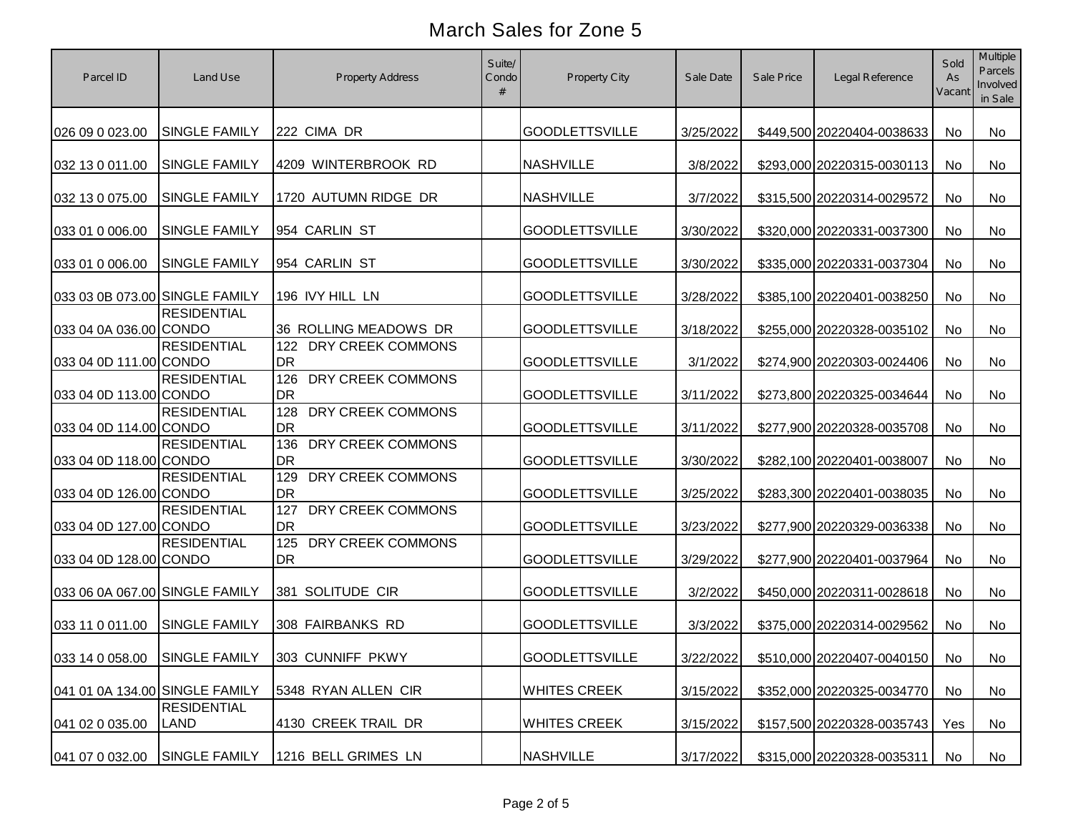| Parcel ID                      | Land Use                   | <b>Property Address</b>               | Suite/<br>Condo | <b>Property City</b>  | Sale Date | Sale Price | Legal Reference               | Sold<br>As<br>Vacant | Multiple<br>Parcels<br>Involved<br>in Sale |
|--------------------------------|----------------------------|---------------------------------------|-----------------|-----------------------|-----------|------------|-------------------------------|----------------------|--------------------------------------------|
| 026 09 0 023.00                | <b>SINGLE FAMILY</b>       | 222 CIMA DR                           |                 | <b>GOODLETTSVILLE</b> | 3/25/2022 |            | \$449,500 20220404-0038633    | No                   | No                                         |
| 032 13 0 011.00                | <b>SINGLE FAMILY</b>       | 4209 WINTERBROOK RD                   |                 | <b>NASHVILLE</b>      | 3/8/2022  |            | \$293,000 20220315-0030113    | No                   | No                                         |
| 032 13 0 075.00                | <b>SINGLE FAMILY</b>       | 1720 AUTUMN RIDGE DR                  |                 | <b>NASHVILLE</b>      | 3/7/2022  |            | \$315,500 20220314-0029572    | No                   | No                                         |
| 033 01 0 006.00                | <b>SINGLE FAMILY</b>       | 954 CARLIN ST                         |                 | <b>GOODLETTSVILLE</b> | 3/30/2022 |            | \$320,000 20220331-0037300    | No                   | No                                         |
| 033 01 0 006.00                | <b>SINGLE FAMILY</b>       | 954 CARLIN ST                         |                 | <b>GOODLETTSVILLE</b> | 3/30/2022 |            | \$335,000 20220331-0037304    | No                   | No                                         |
| 033 03 0B 073.00 SINGLE FAMILY |                            | 196 IVY HILL LN                       |                 | <b>GOODLETTSVILLE</b> | 3/28/2022 |            | \$385,100 20220401-0038250    | No                   | No                                         |
| 033 04 0A 036.00 CONDO         | <b>RESIDENTIAL</b>         | 36 ROLLING MEADOWS DR                 |                 | <b>GOODLETTSVILLE</b> | 3/18/2022 |            | \$255,000 20220328-0035102    | No                   | No                                         |
| 033 04 0D 111.00 CONDO         | <b>RESIDENTIAL</b>         | 122<br>DRY CREEK COMMONS<br>DR        |                 | <b>GOODLETTSVILLE</b> | 3/1/2022  |            | \$274,900 20220303-0024406    | No                   | No                                         |
| 033 04 0D 113.00 CONDO         | <b>RESIDENTIAL</b>         | 126<br>DRY CREEK COMMONS<br>DR        |                 | <b>GOODLETTSVILLE</b> | 3/11/2022 |            | \$273,800 20220325-0034644    | No                   | No                                         |
| 033 04 0D 114.00 CONDO         | <b>RESIDENTIAL</b>         | 128<br>DRY CREEK COMMONS<br>DR        |                 | <b>GOODLETTSVILLE</b> | 3/11/2022 |            | \$277,900 20220328-0035708    | No                   | No                                         |
| 033 04 0D 118.00 CONDO         | <b>RESIDENTIAL</b>         | 136<br>DRY CREEK COMMONS<br><b>DR</b> |                 | <b>GOODLETTSVILLE</b> | 3/30/2022 |            | \$282,100 20220401-0038007    | No                   | No                                         |
| 033 04 0D 126.00 CONDO         | <b>RESIDENTIAL</b>         | 129<br>DRY CREEK COMMONS<br>DR        |                 | <b>GOODLETTSVILLE</b> | 3/25/2022 |            | \$283,300 20220401-0038035    | No                   | No                                         |
| 033 04 0D 127.00 CONDO         | <b>RESIDENTIAL</b>         | 127<br>DRY CREEK COMMONS<br><b>DR</b> |                 | <b>GOODLETTSVILLE</b> | 3/23/2022 |            | \$277,900 20220329-0036338    | No                   | No                                         |
| 033 04 0D 128.00 CONDO         | <b>RESIDENTIAL</b>         | 125<br>DRY CREEK COMMONS<br><b>DR</b> |                 | <b>GOODLETTSVILLE</b> | 3/29/2022 |            | \$277,900 20220401-0037964    | No                   | No                                         |
| 033 06 0A 067.00 SINGLE FAMILY |                            | 381 SOLITUDE CIR                      |                 | <b>GOODLETTSVILLE</b> | 3/2/2022  |            | \$450,000 20220311-0028618    | No                   | No                                         |
| 033 11 0 011.00                | <b>SINGLE FAMILY</b>       | 308 FAIRBANKS RD                      |                 | <b>GOODLETTSVILLE</b> | 3/3/2022  |            | \$375,000 20220314-0029562    | No                   | No                                         |
| 033 14 0 058.00 SINGLE FAMILY  |                            | 303 CUNNIFF PKWY                      |                 | <b>GOODLETTSVILLE</b> | 3/22/2022 |            | \$510,000 20220407-0040150 No |                      | No                                         |
| 041 01 0A 134.00 SINGLE FAMILY |                            | 5348 RYAN ALLEN CIR                   |                 | <b>WHITES CREEK</b>   | 3/15/2022 |            | \$352,000 20220325-0034770    | No                   | No                                         |
| 041 02 0 035.00                | <b>RESIDENTIAL</b><br>LAND | 4130 CREEK TRAIL DR                   |                 | <b>WHITES CREEK</b>   | 3/15/2022 |            | \$157,500 20220328-0035743    | Yes                  | No                                         |
| 041 07 0 032.00                | <b>SINGLE FAMILY</b>       | 1216 BELL GRIMES LN                   |                 | <b>NASHVILLE</b>      | 3/17/2022 |            | \$315,000 20220328-0035311    | No                   | No                                         |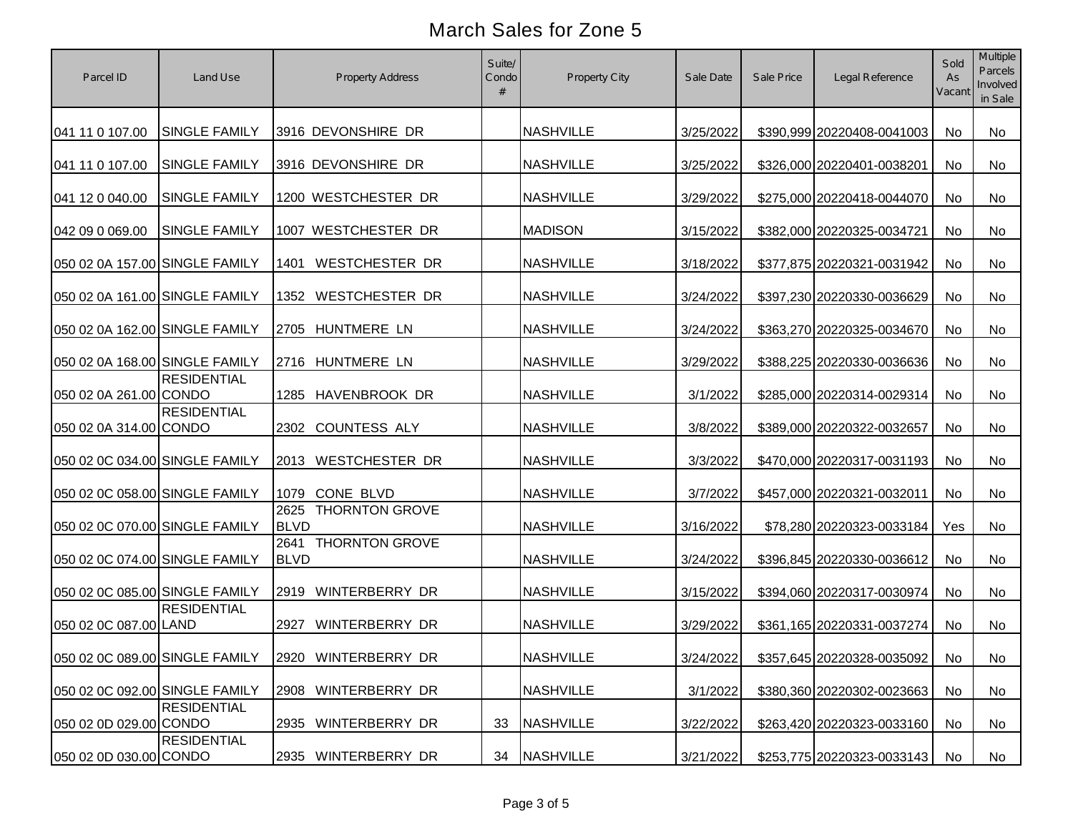| Parcel ID                      | Land Use             | <b>Property Address</b>                      | Suite/<br>Condo | <b>Property City</b> | Sale Date | Sale Price | Legal Reference               | Sold<br>As<br>Vacant | Multiple<br>Parcels<br>Involved<br>in Sale |
|--------------------------------|----------------------|----------------------------------------------|-----------------|----------------------|-----------|------------|-------------------------------|----------------------|--------------------------------------------|
| 041 11 0 107.00                | <b>SINGLE FAMILY</b> | 3916 DEVONSHIRE DR                           |                 | <b>NASHVILLE</b>     | 3/25/2022 |            | \$390,999 20220408-0041003    | No                   | No                                         |
| 041 11 0 107.00                | <b>SINGLE FAMILY</b> | 3916 DEVONSHIRE DR                           |                 | <b>NASHVILLE</b>     | 3/25/2022 |            | \$326,000 20220401-0038201    | No                   | No                                         |
| 041 12 0 040.00                | <b>SINGLE FAMILY</b> | 1200 WESTCHESTER DR                          |                 | <b>NASHVILLE</b>     | 3/29/2022 |            | \$275,000 20220418-0044070    | No                   | No                                         |
| 042 09 0 069.00                | <b>SINGLE FAMILY</b> | 1007 WESTCHESTER DR                          |                 | <b>MADISON</b>       | 3/15/2022 |            | \$382,000 20220325-0034721    | No                   | No                                         |
| 050 02 0A 157.00 SINGLE FAMILY |                      | <b>WESTCHESTER DR</b><br>1401                |                 | <b>NASHVILLE</b>     | 3/18/2022 |            | \$377,875 20220321-0031942    | No                   | No                                         |
| 050 02 0A 161.00 SINGLE FAMILY |                      | WESTCHESTER DR<br>1352                       |                 | <b>NASHVILLE</b>     | 3/24/2022 |            | \$397,230 20220330-0036629    | No                   | No                                         |
| 050 02 0A 162.00 SINGLE FAMILY |                      | HUNTMERE LN<br>2705                          |                 | <b>NASHVILLE</b>     | 3/24/2022 |            | \$363,270 20220325-0034670    | No                   | No                                         |
| 050 02 0A 168.00 SINGLE FAMILY |                      | 2716 HUNTMERE LN                             |                 | <b>NASHVILLE</b>     | 3/29/2022 |            | \$388,225 20220330-0036636    | No                   | No                                         |
| 050 02 0A 261.00 CONDO         | <b>RESIDENTIAL</b>   | HAVENBROOK DR<br>1285                        |                 | <b>NASHVILLE</b>     | 3/1/2022  |            | \$285,000 20220314-0029314    | No                   | No                                         |
| 050 02 0A 314.00 CONDO         | <b>RESIDENTIAL</b>   | 2302 COUNTESS ALY                            |                 | <b>NASHVILLE</b>     | 3/8/2022  |            | \$389,000 20220322-0032657    | No                   | No                                         |
| 050 02 0C 034.00 SINGLE FAMILY |                      | <b>WESTCHESTER DR</b><br>2013                |                 | <b>NASHVILLE</b>     | 3/3/2022  |            | \$470,000 20220317-0031193    | No                   | No                                         |
| 050 02 0C 058.00 SINGLE FAMILY |                      | CONE BLVD<br>1079                            |                 | <b>NASHVILLE</b>     | 3/7/2022  |            | \$457,000 20220321-0032011    | No                   | No                                         |
| 050 02 0C 070.00 SINGLE FAMILY |                      | <b>THORNTON GROVE</b><br>2625<br><b>BLVD</b> |                 | <b>NASHVILLE</b>     | 3/16/2022 |            | \$78,280 20220323-0033184     | Yes                  | No                                         |
| 050 02 0C 074.00 SINGLE FAMILY |                      | <b>THORNTON GROVE</b><br>2641<br><b>BLVD</b> |                 | <b>NASHVILLE</b>     | 3/24/2022 |            | \$396,845 20220330-0036612    | No                   | No                                         |
| 050 02 0C 085.00 SINGLE FAMILY |                      | WINTERBERRY DR<br>2919                       |                 | <b>NASHVILLE</b>     | 3/15/2022 |            | \$394,060 20220317-0030974    | No                   | No                                         |
| 050 02 0C 087.00 LAND          | <b>RESIDENTIAL</b>   | WINTERBERRY DR<br>2927                       |                 | <b>NASHVILLE</b>     | 3/29/2022 |            | \$361,165 20220331-0037274    | No                   | No                                         |
| 050 02 0C 089.00 SINGLE FAMILY |                      | 2920 WINTERBERRY DR                          |                 | <b>NASHVILLE</b>     | 3/24/2022 |            | \$357,645 20220328-0035092 No |                      | No                                         |
| 050 02 0C 092.00 SINGLE FAMILY |                      | 2908 WINTERBERRY DR                          |                 | <b>NASHVILLE</b>     | 3/1/2022  |            | \$380,360 20220302-0023663    | No                   | No                                         |
| 050 02 0D 029.00 CONDO         | <b>RESIDENTIAL</b>   | 2935 WINTERBERRY DR                          | 33              | <b>NASHVILLE</b>     | 3/22/2022 |            | \$263,420 20220323-0033160    | No                   | No                                         |
| 050 02 0D 030.00 CONDO         | <b>RESIDENTIAL</b>   | 2935 WINTERBERRY DR                          | 34              | NASHVILLE            | 3/21/2022 |            | \$253,775 20220323-0033143    | No.                  | No                                         |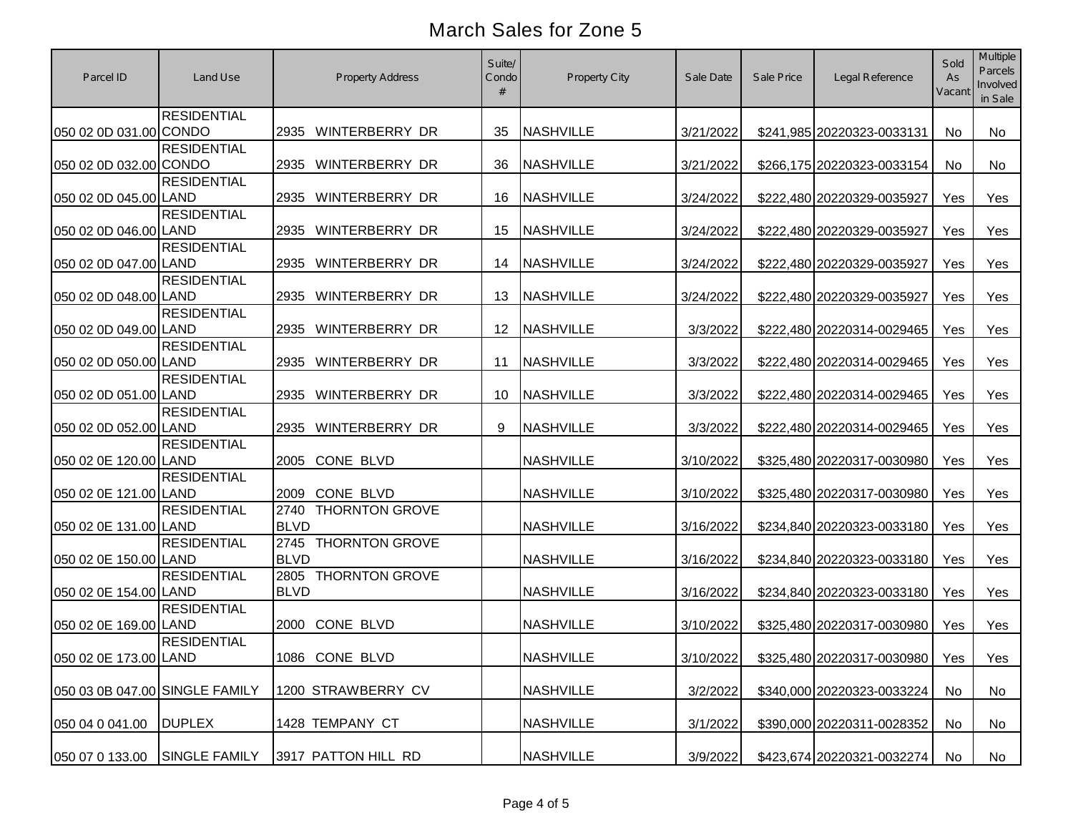| Parcel ID                      | Land Use             | <b>Property Address</b>                      | Suite/<br>Condo   | Property City    | Sale Date | Sale Price | Legal Reference                  | Sold<br>As<br>Vacant | Multiple<br>Parcels<br>Involved<br>in Sale |
|--------------------------------|----------------------|----------------------------------------------|-------------------|------------------|-----------|------------|----------------------------------|----------------------|--------------------------------------------|
| 050 02 0D 031.00 CONDO         | <b>RESIDENTIAL</b>   | 2935 WINTERBERRY DR                          | 35                | <b>NASHVILLE</b> | 3/21/2022 |            | \$241,985 20220323-0033131       | No                   | No                                         |
| 050 02 0D 032.00 CONDO         | <b>RESIDENTIAL</b>   | 2935 WINTERBERRY DR                          | 36                | <b>NASHVILLE</b> | 3/21/2022 |            | \$266,175 20220323-0033154       | <b>No</b>            | No                                         |
| 050 02 0D 045.00 LAND          | <b>RESIDENTIAL</b>   | 2935<br>WINTERBERRY DR                       | 16                | <b>NASHVILLE</b> | 3/24/2022 |            | \$222,480 20220329-0035927       | Yes                  | Yes                                        |
| 050 02 0D 046.00 LAND          | <b>RESIDENTIAL</b>   | WINTERBERRY DR<br>2935                       | 15                | <b>NASHVILLE</b> | 3/24/2022 |            | \$222,480 20220329-0035927       | Yes                  | Yes                                        |
| 050 02 0D 047.00 LAND          | <b>RESIDENTIAL</b>   | 2935<br>WINTERBERRY DR                       | 14                | <b>NASHVILLE</b> | 3/24/2022 |            | \$222,480 20220329-0035927       | Yes                  | Yes                                        |
| 050 02 0D 048.00 LAND          | <b>RESIDENTIAL</b>   | 2935<br>WINTERBERRY DR                       | 13                | <b>NASHVILLE</b> | 3/24/2022 |            | \$222,480 20220329-0035927       | Yes                  | Yes                                        |
| 050 02 0D 049.00 LAND          | <b>RESIDENTIAL</b>   | 2935 WINTERBERRY DR                          | $12 \overline{ }$ | <b>NASHVILLE</b> | 3/3/2022  |            | \$222,480 20220314-0029465       | Yes                  | Yes                                        |
| 050 02 0D 050.00 LAND          | <b>RESIDENTIAL</b>   | WINTERBERRY DR<br>2935                       | 11                | <b>NASHVILLE</b> | 3/3/2022  |            | \$222,480 20220314-0029465       | Yes                  | Yes                                        |
| 050 02 0D 051.00 LAND          | <b>RESIDENTIAL</b>   | WINTERBERRY DR<br>2935                       | 10                | <b>NASHVILLE</b> | 3/3/2022  |            | \$222,480 20220314-0029465       | Yes                  | Yes                                        |
| 050 02 0D 052.00 LAND          | <b>RESIDENTIAL</b>   | 2935<br>WINTERBERRY DR                       | 9                 | <b>NASHVILLE</b> | 3/3/2022  |            | \$222,480 20220314-0029465       | Yes                  | Yes                                        |
| 050 02 0E 120.00 LAND          | <b>RESIDENTIAL</b>   | CONE BLVD<br>2005                            |                   | <b>NASHVILLE</b> | 3/10/2022 |            | \$325,480 20220317-0030980       | Yes                  | Yes                                        |
| 050 02 0E 121.00 LAND          | <b>RESIDENTIAL</b>   | 2009 CONE BLVD                               |                   | <b>NASHVILLE</b> | 3/10/2022 |            | \$325,480 20220317-0030980       | Yes                  | Yes                                        |
| 050 02 0E 131.00 LAND          | <b>RESIDENTIAL</b>   | 2740<br><b>THORNTON GROVE</b><br><b>BLVD</b> |                   | <b>NASHVILLE</b> | 3/16/2022 |            | \$234,840 20220323-0033180       | Yes                  | Yes                                        |
| 050 02 0E 150.00 LAND          | <b>RESIDENTIAL</b>   | <b>THORNTON GROVE</b><br>2745<br><b>BLVD</b> |                   | <b>NASHVILLE</b> | 3/16/2022 |            | \$234,840 20220323-0033180       | Yes                  | Yes                                        |
| 050 02 0E 154.00 LAND          | <b>RESIDENTIAL</b>   | <b>THORNTON GROVE</b><br>2805<br><b>BLVD</b> |                   | <b>NASHVILLE</b> | 3/16/2022 |            | \$234,840 20220323-0033180       | Yes                  | Yes                                        |
| 050 02 0E 169.00 LAND          | <b>RESIDENTIAL</b>   | CONE BLVD<br>2000                            |                   | <b>NASHVILLE</b> | 3/10/2022 |            | \$325,480 20220317-0030980       | Yes                  | Yes                                        |
| 050 02 0E 173.00 LAND          | <b>RESIDENTIAL</b>   | 1086 CONE BLVD                               |                   | <b>NASHVILLE</b> | 3/10/2022 |            | \$325,480 20220317-0030980   Yes |                      | Yes                                        |
| 050 03 0B 047.00 SINGLE FAMILY |                      | 1200 STRAWBERRY CV                           |                   | <b>NASHVILLE</b> | 3/2/2022  |            | \$340,000 20220323-0033224       | No                   | No                                         |
| 050 04 0 041.00                | <b>DUPLEX</b>        | 1428 TEMPANY CT                              |                   | <b>NASHVILLE</b> | 3/1/2022  |            | \$390,000 20220311-0028352       | No                   | No                                         |
| 050 07 0 133.00                | <b>SINGLE FAMILY</b> | 3917 PATTON HILL RD                          |                   | <b>NASHVILLE</b> | 3/9/2022  |            | \$423,674 20220321-0032274       | No                   | No                                         |